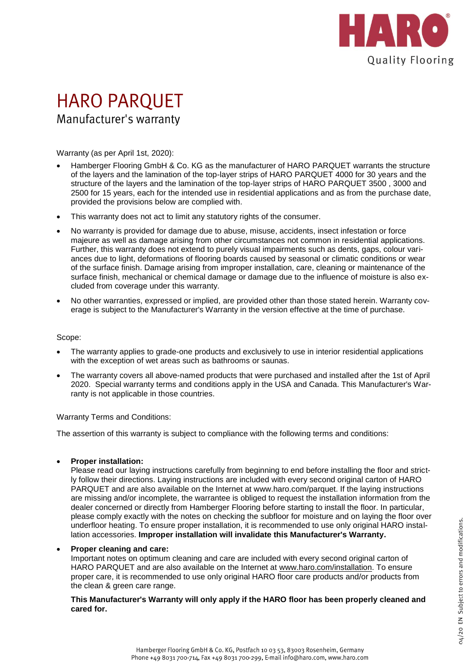

## **HARO PARQUET** Manufacturer's warranty

Warranty (as per April 1st, 2020):

- Hamberger Flooring GmbH & Co. KG as the manufacturer of HARO PARQUET warrants the structure of the layers and the lamination of the top-layer strips of HARO PARQUET 4000 for 30 years and the structure of the layers and the lamination of the top-layer strips of HARO PARQUET 3500 , 3000 and 2500 for 15 years, each for the intended use in residential applications and as from the purchase date, provided the provisions below are complied with.
- This warranty does not act to limit any statutory rights of the consumer.
- No warranty is provided for damage due to abuse, misuse, accidents, insect infestation or force majeure as well as damage arising from other circumstances not common in residential applications. Further, this warranty does not extend to purely visual impairments such as dents, gaps, colour variances due to light, deformations of flooring boards caused by seasonal or climatic conditions or wear of the surface finish. Damage arising from improper installation, care, cleaning or maintenance of the surface finish, mechanical or chemical damage or damage due to the influence of moisture is also excluded from coverage under this warranty.
- No other warranties, expressed or implied, are provided other than those stated herein. Warranty coverage is subject to the Manufacturer's Warranty in the version effective at the time of purchase.

## Scope:

- The warranty applies to grade-one products and exclusively to use in interior residential applications with the exception of wet areas such as bathrooms or saunas.
- The warranty covers all above-named products that were purchased and installed after the 1st of April 2020. Special warranty terms and conditions apply in the USA and Canada. This Manufacturer's Warranty is not applicable in those countries.

Warranty Terms and Conditions:

The assertion of this warranty is subject to compliance with the following terms and conditions:

**Proper installation:**

Please read our laying instructions carefully from beginning to end before installing the floor and strictly follow their directions. Laying instructions are included with every second original carton of HARO PARQUET and are also available on the Internet at www.haro.com/parquet. If the laying instructions are missing and/or incomplete, the warrantee is obliged to request the installation information from the dealer concerned or directly from Hamberger Flooring before starting to install the floor. In particular, please comply exactly with the notes on checking the subfloor for moisture and on laying the floor over underfloor heating. To ensure proper installation, it is recommended to use only original HARO installation accessories. **Improper installation will invalidate this Manufacturer's Warranty.**

## **Proper cleaning and care:**

Important notes on optimum cleaning and care are included with every second original carton of HARO PARQUET and are also available on the Internet at www.haro.com/installation. To ensure proper care, it is recommended to use only original HARO floor care products and/or products from the clean & green care range.

**This Manufacturer's Warranty will only apply if the HARO floor has been properly cleaned and cared for.**